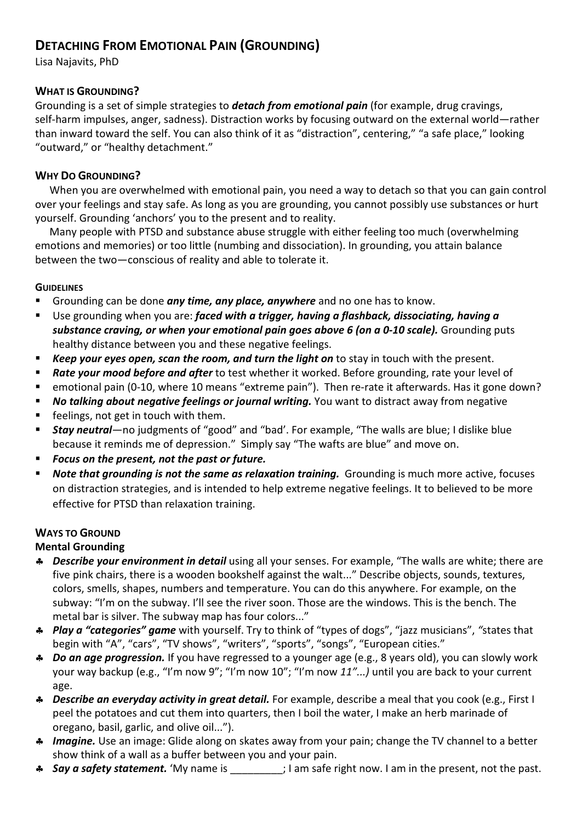# **DETACHING FROM EMOTIONAL PAIN (GROUNDING)**

Lisa Najavits, PhD

### **WHAT IS GROUNDING?**

Grounding is a set of simple strategies to *detach from emotional pain* (for example, drug cravings, self-harm impulses, anger, sadness). Distraction works by focusing outward on the external world—rather than inward toward the self. You can also think of it as "distraction", centering," "a safe place," looking "outward," or "healthy detachment."

### **WHY DO GROUNDING?**

When you are overwhelmed with emotional pain, you need a way to detach so that you can gain control over your feelings and stay safe. As long as you are grounding, you cannot possibly use substances or hurt yourself. Grounding 'anchors' you to the present and to reality.

Many people with PTSD and substance abuse struggle with either feeling too much (overwhelming emotions and memories) or too little (numbing and dissociation). In grounding, you attain balance between the two—conscious of reality and able to tolerate it.

#### **GUIDELINES**

- Grounding can be done *any time, any place, anywhere* and no one has to know.
- Use grounding when you are: *faced with a trigger, having a flashback, dissociating, having a substance craving, or when your emotional pain goes above 6 (on a 0-10 scale).* Grounding puts healthy distance between you and these negative feelings.
- *Keep your eyes open, scan the room, and turn the light on* to stay in touch with the present.
- *Rate your mood before and after* to test whether it worked. Before grounding, rate your level of
- emotional pain (0-10, where 10 means "extreme pain"). Then re-rate it afterwards. Has it gone down?
- *No talking about negative feelings or journal writing.* You want to distract away from negative
- feelings, not get in touch with them.
- *Stay neutral*—no judgments of "good" and "bad'. For example, "The walls are blue; I dislike blue because it reminds me of depression." Simply say "The wafts are blue" and move on.
- *Focus on the present, not the past or future.*
- *Note that grounding is not the same as relaxation training.* Grounding is much more active, focuses on distraction strategies, and is intended to help extreme negative feelings. It to believed to be more effective for PTSD than relaxation training.

### **WAYS TO GROUND**

### **Mental Grounding**

- ♣ *Describe your environment in detail* using all your senses. For example, "The walls are white; there are five pink chairs, there is a wooden bookshelf against the walt..." Describe objects, sounds, textures, colors, smells, shapes, numbers and temperature. You can do this anywhere. For example, on the subway: "I'm on the subway. I'll see the river soon. Those are the windows. This is the bench. The metal bar is silver. The subway map has four colors..."
- ♣ *Play a "categories" game* with yourself. Try to think of "types of dogs", "jazz musicians", *"*states that begin with "A", "cars", "TV shows", "writers", "sports", "songs", "European cities."
- ♣ *Do an age progression.* If you have regressed to a younger age (e.g., 8 years old), you can slowly work your way backup (e.g., "I'm now 9"; "I'm now 10"; "I'm now *11"...)* until you are back to your current age.
- ♣ *Describe an everyday activity in great detail.* For example, describe a meal that you cook (e.g., First I peel the potatoes and cut them into quarters, then I boil the water, I make an herb marinade of oregano, basil, garlic, and olive oil...").
- ♣ *Imagine.* Use an image: Glide along on skates away from your pain; change the TV channel to a better show think of a wall as a buffer between you and your pain.
- ♣ *Say a safety statement.* 'My name is \_\_\_\_\_\_\_\_\_; I am safe right now. I am in the present, not the past.